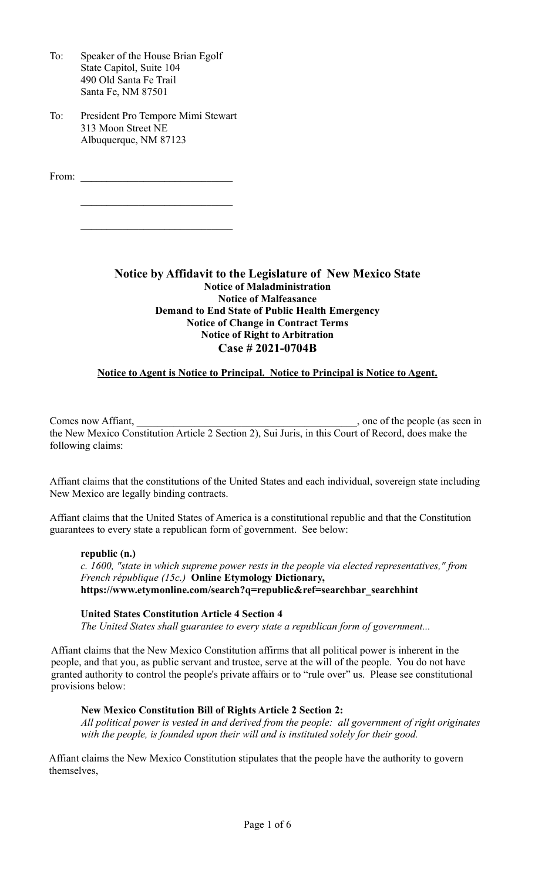- To: Speaker of the House Brian Egolf State Capitol, Suite 104 490 Old Santa Fe Trail Santa Fe, NM 87501
- To: President Pro Tempore Mimi Stewart 313 Moon Street NE Albuquerque, NM 87123

From: \_\_\_\_\_\_\_\_\_\_\_\_\_\_\_\_\_\_\_\_\_\_\_\_\_\_\_\_\_

**Notice by Affidavit to the Legislature of New Mexico State Notice of Maladministration Notice of Malfeasance Demand to End State of Public Health Emergency Notice of Change in Contract Terms Notice of Right to Arbitration Case # 2021-0704B**

# **Notice to Agent is Notice to Principal. Notice to Principal is Notice to Agent.**

Comes now Affiant, the comes of the people (as seen in the New Mexico Constitution Article 2 Section 2), Sui Juris, in this Court of Record, does make the following claims:

Affiant claims that the constitutions of the United States and each individual, sovereign state including New Mexico are legally binding contracts.

Affiant claims that the United States of America is a constitutional republic and that the Constitution guarantees to every state a republican form of government. See below:

## **republic (n.)**

*c. 1600, "state in which supreme power rests in the people via elected representatives," from French république (15c.)* **Online Etymology Dictionary, https://www.etymonline.com/search?q=republic&ref=searchbar\_searchhint**

## **United States Constitution Article 4 Section 4**

*The United States shall guarantee to every state a republican form of government...*

Affiant claims that the New Mexico Constitution affirms that all political power is inherent in the people, and that you, as public servant and trustee, serve at the will of the people. You do not have granted authority to control the people's private affairs or to "rule over" us. Please see constitutional provisions below:

## **New Mexico Constitution Bill of Rights Article 2 Section 2:**

*All political power is vested in and derived from the people: all government of right originates with the people, is founded upon their will and is instituted solely for their good.* 

Affiant claims the New Mexico Constitution stipulates that the people have the authority to govern themselves,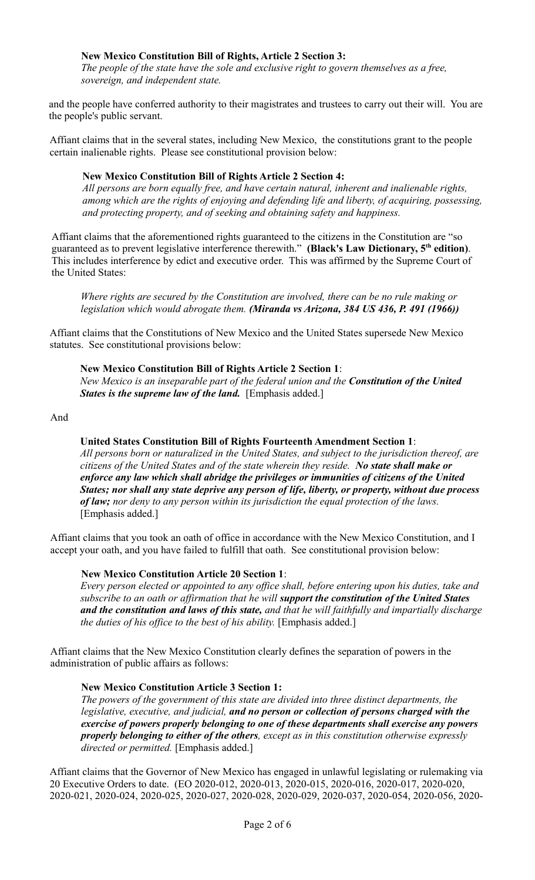## **New Mexico Constitution Bill of Rights, Article 2 Section 3:**

*The people of the state have the sole and exclusive right to govern themselves as a free, sovereign, and independent state.*

and the people have conferred authority to their magistrates and trustees to carry out their will. You are the people's public servant.

Affiant claims that in the several states, including New Mexico, the constitutions grant to the people certain inalienable rights. Please see constitutional provision below:

## **New Mexico Constitution Bill of Rights Article 2 Section 4:**

*All persons are born equally free, and have certain natural, inherent and inalienable rights, among which are the rights of enjoying and defending life and liberty, of acquiring, possessing, and protecting property, and of seeking and obtaining safety and happiness.*

Affiant claims that the aforementioned rights guaranteed to the citizens in the Constitution are "so guaranteed as to prevent legislative interference therewith." **(Black's Law Dictionary, 5th edition)**. This includes interference by edict and executive order. This was affirmed by the Supreme Court of the United States:

*Where rights are secured by the Constitution are involved, there can be no rule making or legislation which would abrogate them. (Miranda vs Arizona, 384 US 436, P. 491 (1966))*

Affiant claims that the Constitutions of New Mexico and the United States supersede New Mexico statutes. See constitutional provisions below:

**New Mexico Constitution Bill of Rights Article 2 Section 1**: *New Mexico is an inseparable part of the federal union and the Constitution of the United States is the supreme law of the land.* [Emphasis added.]

And

# **United States Constitution Bill of Rights Fourteenth Amendment Section 1**:

*All persons born or naturalized in the United States, and subject to the jurisdiction thereof, are citizens of the United States and of the state wherein they reside. No state shall make or enforce any law which shall abridge the privileges or immunities of citizens of the United States; nor shall any state deprive any person of life, liberty, or property, without due process of law; nor deny to any person within its jurisdiction the equal protection of the laws.*  [Emphasis added.]

Affiant claims that you took an oath of office in accordance with the New Mexico Constitution, and I accept your oath, and you have failed to fulfill that oath. See constitutional provision below:

# **New Mexico Constitution Article 20 Section 1**:

*Every person elected or appointed to any office shall, before entering upon his duties, take and subscribe to an oath or affirmation that he will support the constitution of the United States and the constitution and laws of this state, and that he will faithfully and impartially discharge the duties of his office to the best of his ability.* [Emphasis added.]

Affiant claims that the New Mexico Constitution clearly defines the separation of powers in the administration of public affairs as follows:

## **New Mexico Constitution Article 3 Section 1:**

*The powers of the government of this state are divided into three distinct departments, the legislative, executive, and judicial, and no person or collection of persons charged with the exercise of powers properly belonging to one of these departments shall exercise any powers properly belonging to either of the others, except as in this constitution otherwise expressly directed or permitted.* [Emphasis added.]

Affiant claims that the Governor of New Mexico has engaged in unlawful legislating or rulemaking via 20 Executive Orders to date. (EO 2020-012, 2020-013, 2020-015, 2020-016, 2020-017, 2020-020, 2020-021, 2020-024, 2020-025, 2020-027, 2020-028, 2020-029, 2020-037, 2020-054, 2020-056, 2020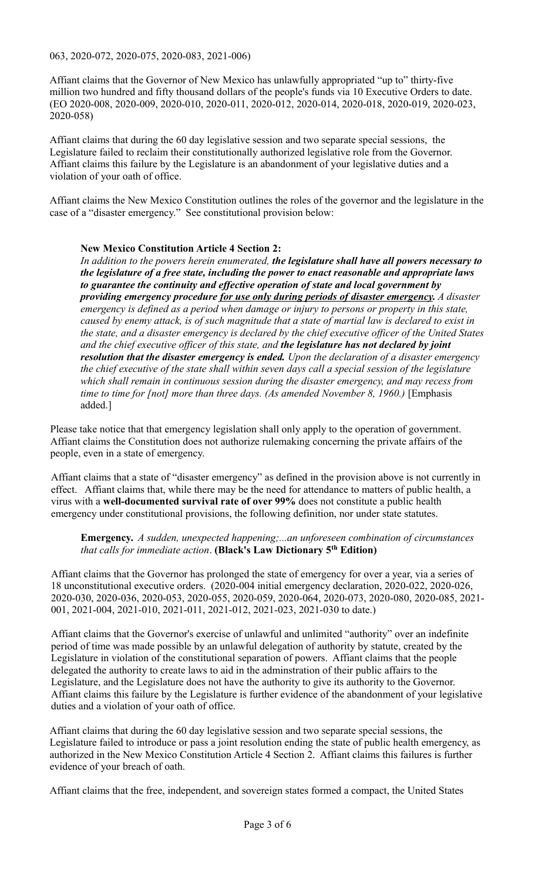063, 2020-072, 2020-075, 2020-083, 2021-006)

Affiant claims that the Governor of New Mexico has unlawfully appropriated "up to" thirty-five million two hundred and fifty thousand dollars of the people's funds via 10 Executive Orders to date. (EO 2020-008, 2020-009, 2020-010, 2020-011, 2020-012, 2020-014, 2020-018, 2020-019, 2020-023, 2020-058)

Affiant claims that during the 60 day legislative session and two separate special sessions, the Legislature failed to reclaim their constitutionally authorized legislative role from the Governor. Affiant claims this failure by the Legislature is an abandonment of your legislative duties and a violation of your oath of office.

Affiant claims the New Mexico Constitution outlines the roles of the governor and the legislature in the case of a "disaster emergency." See constitutional provision below:

#### **New Mexico Constitution Article 4 Section 2:**

*In addition to the powers herein enumerated, the legislature shall have all powers necessary to the legislature of a free state, including the power to enact reasonable and appropriate laws to guarantee the continuity and effective operation of state and local government by providing emergency procedure for use only during periods of disaster emergency. A disaster emergency is defined as a period when damage or injury to persons or property in this state, caused by enemy attack, is of such magnitude that a state of martial law is declared to exist in the state, and a disaster emergency is declared by the chief executive officer of the United States and the chief executive officer of this state, and the legislature has not declared by joint resolution that the disaster emergency is ended. Upon the declaration of a disaster emergency the chief executive of the state shall within seven days call a special session of the legislature which shall remain in continuous session during the disaster emergency, and may recess from time to time for [not] more than three days. (As amended November 8, 1960.)* [Emphasis added.]

Please take notice that that emergency legislation shall only apply to the operation of government. Affiant claims the Constitution does not authorize rulemaking concerning the private affairs of the people, even in a state of emergency.

Affiant claims that a state of "disaster emergency" as defined in the provision above is not currently in effect. Affiant claims that, while there may be the need for attendance to matters of public health, a virus with a **well-documented survival rate of over 99%** does not constitute a public health emergency under constitutional provisions, the following definition, nor under state statutes.

**Emergency.** *A sudden, unexpected happening;...an unforeseen combination of circumstances that calls for immediate action*. **(Black's Law Dictionary 5th Edition)**

Affiant claims that the Governor has prolonged the state of emergency for over a year, via a series of 18 unconstitutional executive orders. (2020-004 initial emergency declaration, 2020-022, 2020-026, 2020-030, 2020-036, 2020-053, 2020-055, 2020-059, 2020-064, 2020-073, 2020-080, 2020-085, 2021- 001, 2021-004, 2021-010, 2021-011, 2021-012, 2021-023, 2021-030 to date.)

Affiant claims that the Governor's exercise of unlawful and unlimited "authority" over an indefinite period of time was made possible by an unlawful delegation of authority by statute, created by the Legislature in violation of the constitutional separation of powers. Affiant claims that the people delegated the authority to create laws to aid in the adminstration of their public affairs to the Legislature, and the Legislature does not have the authority to give its authority to the Governor. Affiant claims this failure by the Legislature is further evidence of the abandonment of your legislative duties and a violation of your oath of office.

Affiant claims that during the 60 day legislative session and two separate special sessions, the Legislature failed to introduce or pass a joint resolution ending the state of public health emergency, as authorized in the New Mexico Constitution Article 4 Section 2. Affiant claims this failures is further evidence of your breach of oath.

Affiant claims that the free, independent, and sovereign states formed a compact, the United States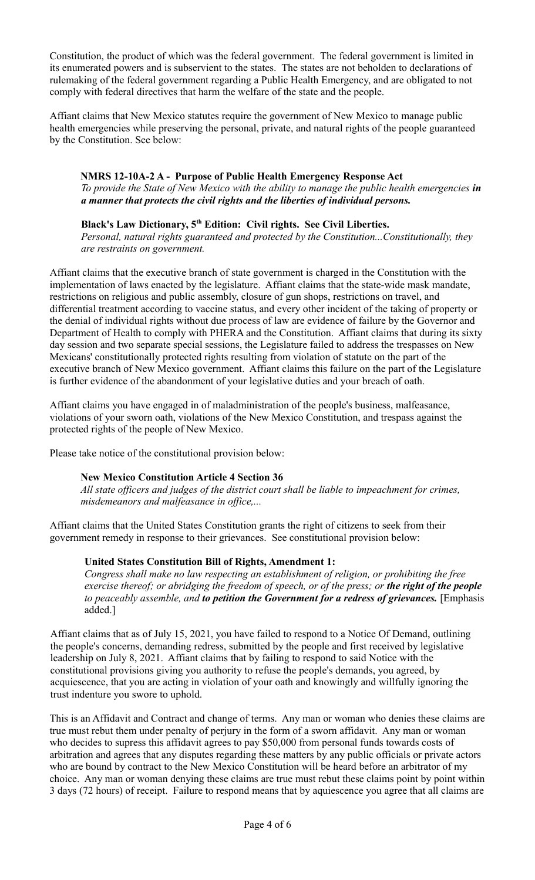Constitution, the product of which was the federal government. The federal government is limited in its enumerated powers and is subservient to the states. The states are not beholden to declarations of rulemaking of the federal government regarding a Public Health Emergency, and are obligated to not comply with federal directives that harm the welfare of the state and the people.

Affiant claims that New Mexico statutes require the government of New Mexico to manage public health emergencies while preserving the personal, private, and natural rights of the people guaranteed by the Constitution. See below:

# **NMRS 12-10A-2 A - Purpose of Public Health Emergency Response Act**

*To provide the State of New Mexico with the ability to manage the public health emergencies in a manner that protects the civil rights and the liberties of individual persons.*

# **Black's Law Dictionary, 5th Edition: Civil rights. See Civil Liberties.**

*Personal, natural rights guaranteed and protected by the Constitution...Constitutionally, they are restraints on government.* 

Affiant claims that the executive branch of state government is charged in the Constitution with the implementation of laws enacted by the legislature. Affiant claims that the state-wide mask mandate, restrictions on religious and public assembly, closure of gun shops, restrictions on travel, and differential treatment according to vaccine status, and every other incident of the taking of property or the denial of individual rights without due process of law are evidence of failure by the Governor and Department of Health to comply with PHERA and the Constitution. Affiant claims that during its sixty day session and two separate special sessions, the Legislature failed to address the trespasses on New Mexicans' constitutionally protected rights resulting from violation of statute on the part of the executive branch of New Mexico government. Affiant claims this failure on the part of the Legislature is further evidence of the abandonment of your legislative duties and your breach of oath.

Affiant claims you have engaged in of maladministration of the people's business, malfeasance, violations of your sworn oath, violations of the New Mexico Constitution, and trespass against the protected rights of the people of New Mexico.

Please take notice of the constitutional provision below:

# **New Mexico Constitution Article 4 Section 36**

*All state officers and judges of the district court shall be liable to impeachment for crimes, misdemeanors and malfeasance in office,...*

Affiant claims that the United States Constitution grants the right of citizens to seek from their government remedy in response to their grievances. See constitutional provision below:

# **United States Constitution Bill of Rights, Amendment 1:**

*Congress shall make no law respecting an establishment of religion, or prohibiting the free exercise thereof; or abridging the freedom of speech, or of the press; or the right of the people to peaceably assemble, and to petition the Government for a redress of grievances.* [Emphasis added.]

Affiant claims that as of July 15, 2021, you have failed to respond to a Notice Of Demand, outlining the people's concerns, demanding redress, submitted by the people and first received by legislative leadership on July 8, 2021. Affiant claims that by failing to respond to said Notice with the constitutional provisions giving you authority to refuse the people's demands, you agreed, by acquiescence, that you are acting in violation of your oath and knowingly and willfully ignoring the trust indenture you swore to uphold.

This is an Affidavit and Contract and change of terms. Any man or woman who denies these claims are true must rebut them under penalty of perjury in the form of a sworn affidavit. Any man or woman who decides to supress this affidavit agrees to pay \$50,000 from personal funds towards costs of arbitration and agrees that any disputes regarding these matters by any public officials or private actors who are bound by contract to the New Mexico Constitution will be heard before an arbitrator of my choice. Any man or woman denying these claims are true must rebut these claims point by point within 3 days (72 hours) of receipt. Failure to respond means that by aquiescence you agree that all claims are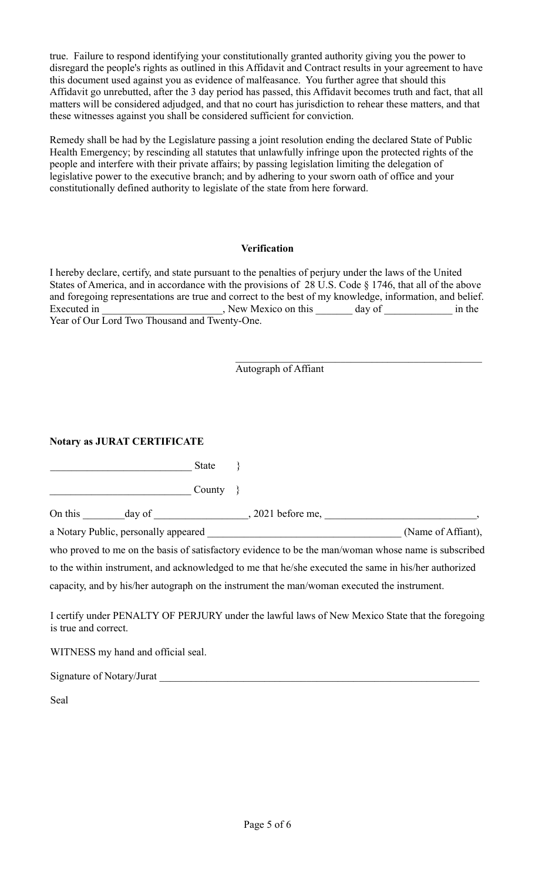true. Failure to respond identifying your constitutionally granted authority giving you the power to disregard the people's rights as outlined in this Affidavit and Contract results in your agreement to have this document used against you as evidence of malfeasance. You further agree that should this Affidavit go unrebutted, after the 3 day period has passed, this Affidavit becomes truth and fact, that all matters will be considered adjudged, and that no court has jurisdiction to rehear these matters, and that these witnesses against you shall be considered sufficient for conviction.

Remedy shall be had by the Legislature passing a joint resolution ending the declared State of Public Health Emergency; by rescinding all statutes that unlawfully infringe upon the protected rights of the people and interfere with their private affairs; by passing legislation limiting the delegation of legislative power to the executive branch; and by adhering to your sworn oath of office and your constitutionally defined authority to legislate of the state from here forward.

## **Verification**

I hereby declare, certify, and state pursuant to the penalties of perjury under the laws of the United States of America, and in accordance with the provisions of 28 U.S. Code § 1746, that all of the above and foregoing representations are true and correct to the best of my knowledge, information, and belief. Executed in \_\_\_\_\_\_\_\_\_\_\_\_\_\_\_\_\_\_\_\_\_\_\_, New Mexico on this \_\_\_\_\_\_\_ day of \_\_\_\_\_\_\_\_\_\_ in the Year of Our Lord Two Thousand and Twenty-One.

Autograph of Affiant

# **Notary as JURAT CERTIFICATE**

|                      |  | State  |                                                                                                      |                                                                                                     |
|----------------------|--|--------|------------------------------------------------------------------------------------------------------|-----------------------------------------------------------------------------------------------------|
|                      |  | County |                                                                                                      |                                                                                                     |
|                      |  |        | On this day of 1.1 and 1.2021 before me, 1.2021 before me,                                           |                                                                                                     |
|                      |  |        |                                                                                                      | (Name of Affiant),                                                                                  |
|                      |  |        |                                                                                                      | who proved to me on the basis of satisfactory evidence to be the man/woman whose name is subscribed |
|                      |  |        | to the within instrument, and acknowledged to me that he/she executed the same in his/her authorized |                                                                                                     |
|                      |  |        | capacity, and by his/her autograph on the instrument the man/woman executed the instrument.          |                                                                                                     |
| is true and correct. |  |        |                                                                                                      | I certify under PENALTY OF PERJURY under the lawful laws of New Mexico State that the foregoing     |

WITNESS my hand and official seal.

Signature of Notary/Jurat

Seal